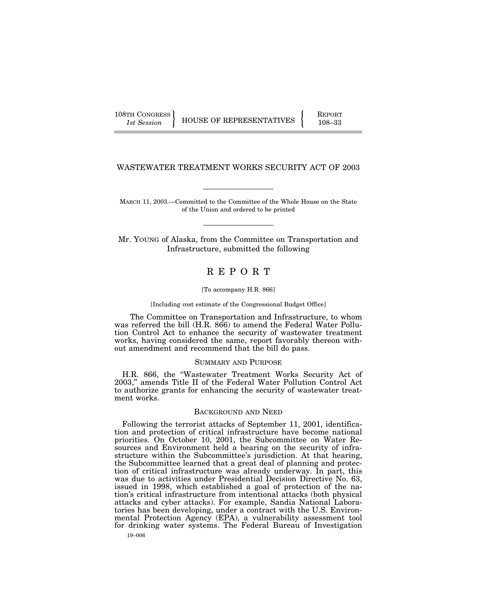108TH CONGRESS REPORT

1st Session HOUSE OF REPRESENTATIVES | 108–33

# WASTEWATER TREATMENT WORKS SECURITY ACT OF 2003

MARCH 11, 2003.—Committed to the Committee of the Whole House on the State of the Union and ordered to be printed

Mr. YOUNG of Alaska, from the Committee on Transportation and Infrastructure, submitted the following

# R E P O R T

### [To accompany H.R. 866]

[Including cost estimate of the Congressional Budget Office]

The Committee on Transportation and Infrastructure, to whom was referred the bill (H.R. 866) to amend the Federal Water Pollution Control Act to enhance the security of wastewater treatment works, having considered the same, report favorably thereon without amendment and recommend that the bill do pass.

# SUMMARY AND PURPOSE

H.R. 866, the ''Wastewater Treatment Works Security Act of 2003,'' amends Title II of the Federal Water Pollution Control Act to authorize grants for enhancing the security of wastewater treatment works.

### BACKGROUND AND NEED

19–006 Following the terrorist attacks of September 11, 2001, identification and protection of critical infrastructure have become national priorities. On October 10, 2001, the Subcommittee on Water Resources and Environment held a hearing on the security of infrastructure within the Subcommittee's jurisdiction. At that hearing, the Subcommittee learned that a great deal of planning and protection of critical infrastructure was already underway. In part, this was due to activities under Presidential Decision Directive No. 63, issued in 1998, which established a goal of protection of the nation's critical infrastructure from intentional attacks (both physical attacks and cyber attacks). For example, Sandia National Laboratories has been developing, under a contract with the U.S. Environmental Protection Agency (EPA), a vulnerability assessment tool for drinking water systems. The Federal Bureau of Investigation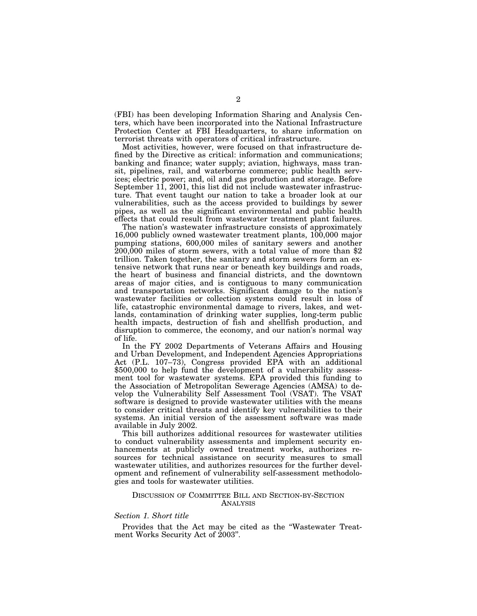(FBI) has been developing Information Sharing and Analysis Centers, which have been incorporated into the National Infrastructure Protection Center at FBI Headquarters, to share information on terrorist threats with operators of critical infrastructure.

Most activities, however, were focused on that infrastructure defined by the Directive as critical: information and communications; banking and finance; water supply; aviation, highways, mass transit, pipelines, rail, and waterborne commerce; public health services; electric power; and, oil and gas production and storage. Before September 11, 2001, this list did not include wastewater infrastructure. That event taught our nation to take a broader look at our vulnerabilities, such as the access provided to buildings by sewer pipes, as well as the significant environmental and public health effects that could result from wastewater treatment plant failures.

The nation's wastewater infrastructure consists of approximately 16,000 publicly owned wastewater treatment plants, 100,000 major pumping stations, 600,000 miles of sanitary sewers and another 200,000 miles of storm sewers, with a total value of more than \$2 trillion. Taken together, the sanitary and storm sewers form an extensive network that runs near or beneath key buildings and roads, the heart of business and financial districts, and the downtown areas of major cities, and is contiguous to many communication and transportation networks. Significant damage to the nation's wastewater facilities or collection systems could result in loss of life, catastrophic environmental damage to rivers, lakes, and wetlands, contamination of drinking water supplies, long-term public health impacts, destruction of fish and shellfish production, and disruption to commerce, the economy, and our nation's normal way of life.

In the FY 2002 Departments of Veterans Affairs and Housing and Urban Development, and Independent Agencies Appropriations Act (P.L. 107–73), Congress provided EPA with an additional \$500,000 to help fund the development of a vulnerability assessment tool for wastewater systems. EPA provided this funding to the Association of Metropolitan Sewerage Agencies (AMSA) to develop the Vulnerability Self Assessment Tool (VSAT). The VSAT software is designed to provide wastewater utilities with the means to consider critical threats and identify key vulnerabilities to their systems. An initial version of the assessment software was made available in July 2002.

This bill authorizes additional resources for wastewater utilities to conduct vulnerability assessments and implement security enhancements at publicly owned treatment works, authorizes resources for technical assistance on security measures to small wastewater utilities, and authorizes resources for the further development and refinement of vulnerability self-assessment methodologies and tools for wastewater utilities.

# DISCUSSION OF COMMITTEE BILL AND SECTION-BY-SECTION ANALYSIS

# *Section 1. Short title*

Provides that the Act may be cited as the ''Wastewater Treatment Works Security Act of 2003''.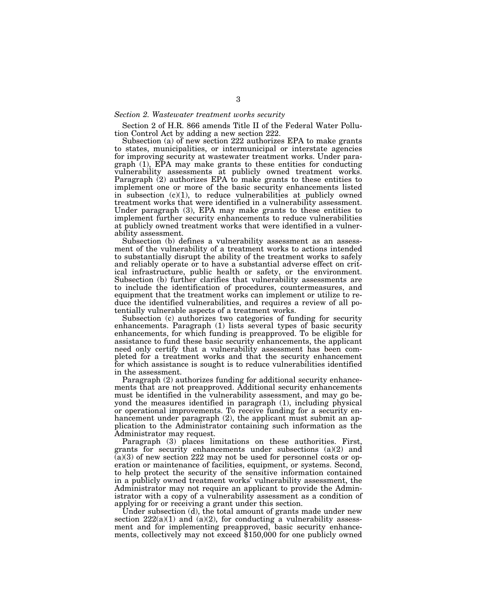### *Section 2. Wastewater treatment works security*

Section 2 of H.R. 866 amends Title II of the Federal Water Pollution Control Act by adding a new section 222.

Subsection (a) of new section 222 authorizes EPA to make grants to states, municipalities, or intermunicipal or interstate agencies for improving security at wastewater treatment works. Under paragraph (1), EPA may make grants to these entities for conducting vulnerability assessments at publicly owned treatment works. Paragraph (2) authorizes EPA to make grants to these entities to implement one or more of the basic security enhancements listed in subsection  $(c)(1)$ , to reduce vulnerabilities at publicly owned treatment works that were identified in a vulnerability assessment. Under paragraph (3), EPA may make grants to these entities to implement further security enhancements to reduce vulnerabilities at publicly owned treatment works that were identified in a vulnerability assessment.

Subsection (b) defines a vulnerability assessment as an assessment of the vulnerability of a treatment works to actions intended to substantially disrupt the ability of the treatment works to safely and reliably operate or to have a substantial adverse effect on critical infrastructure, public health or safety, or the environment. Subsection (b) further clarifies that vulnerability assessments are to include the identification of procedures, countermeasures, and equipment that the treatment works can implement or utilize to reduce the identified vulnerabilities, and requires a review of all potentially vulnerable aspects of a treatment works.

Subsection (c) authorizes two categories of funding for security enhancements. Paragraph (1) lists several types of basic security enhancements, for which funding is preapproved. To be eligible for assistance to fund these basic security enhancements, the applicant need only certify that a vulnerability assessment has been completed for a treatment works and that the security enhancement for which assistance is sought is to reduce vulnerabilities identified in the assessment.

Paragraph (2) authorizes funding for additional security enhancements that are not preapproved. Additional security enhancements must be identified in the vulnerability assessment, and may go beyond the measures identified in paragraph (1), including physical or operational improvements. To receive funding for a security enhancement under paragraph (2), the applicant must submit an application to the Administrator containing such information as the Administrator may request.

Paragraph (3) places limitations on these authorities. First, grants for security enhancements under subsections (a)(2) and  $(a)(3)$  of new section 222 may not be used for personnel costs or operation or maintenance of facilities, equipment, or systems. Second, to help protect the security of the sensitive information contained in a publicly owned treatment works' vulnerability assessment, the Administrator may not require an applicant to provide the Administrator with a copy of a vulnerability assessment as a condition of applying for or receiving a grant under this section.

Under subsection (d), the total amount of grants made under new section  $222(a)(1)$  and  $(a)(2)$ , for conducting a vulnerability assessment and for implementing preapproved, basic security enhancements, collectively may not exceed \$150,000 for one publicly owned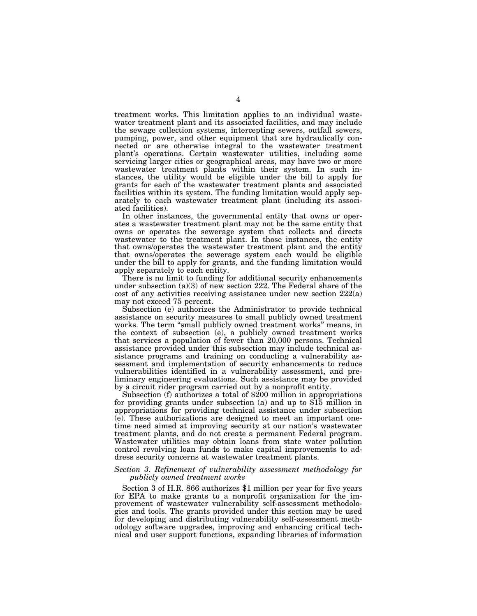treatment works. This limitation applies to an individual wastewater treatment plant and its associated facilities, and may include the sewage collection systems, intercepting sewers, outfall sewers, pumping, power, and other equipment that are hydraulically connected or are otherwise integral to the wastewater treatment plant's operations. Certain wastewater utilities, including some servicing larger cities or geographical areas, may have two or more wastewater treatment plants within their system. In such instances, the utility would be eligible under the bill to apply for grants for each of the wastewater treatment plants and associated facilities within its system. The funding limitation would apply separately to each wastewater treatment plant (including its associated facilities).

In other instances, the governmental entity that owns or operates a wastewater treatment plant may not be the same entity that owns or operates the sewerage system that collects and directs wastewater to the treatment plant. In those instances, the entity that owns/operates the wastewater treatment plant and the entity that owns/operates the sewerage system each would be eligible under the bill to apply for grants, and the funding limitation would apply separately to each entity.

There is no limit to funding for additional security enhancements under subsection (a)(3) of new section 222. The Federal share of the cost of any activities receiving assistance under new section 222(a) may not exceed 75 percent.

Subsection (e) authorizes the Administrator to provide technical assistance on security measures to small publicly owned treatment works. The term "small publicly owned treatment works" means, in the context of subsection (e), a publicly owned treatment works that services a population of fewer than 20,000 persons. Technical assistance provided under this subsection may include technical assistance programs and training on conducting a vulnerability assessment and implementation of security enhancements to reduce vulnerabilities identified in a vulnerability assessment, and preliminary engineering evaluations. Such assistance may be provided by a circuit rider program carried out by a nonprofit entity.

Subsection (f) authorizes a total of \$200 million in appropriations for providing grants under subsection (a) and up to \$15 million in appropriations for providing technical assistance under subsection (e). These authorizations are designed to meet an important onetime need aimed at improving security at our nation's wastewater treatment plants, and do not create a permanent Federal program. Wastewater utilities may obtain loans from state water pollution control revolving loan funds to make capital improvements to address security concerns at wastewater treatment plants.

# *Section 3. Refinement of vulnerability assessment methodology for publicly owned treatment works*

Section 3 of H.R. 866 authorizes \$1 million per year for five years for EPA to make grants to a nonprofit organization for the improvement of wastewater vulnerability self-assessment methodologies and tools. The grants provided under this section may be used for developing and distributing vulnerability self-assessment methodology software upgrades, improving and enhancing critical technical and user support functions, expanding libraries of information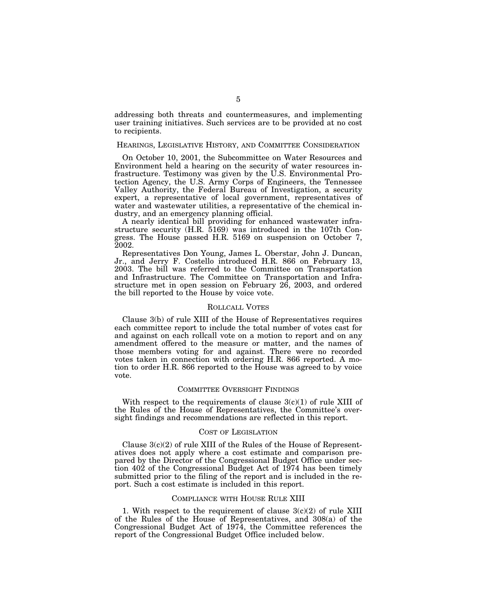addressing both threats and countermeasures, and implementing user training initiatives. Such services are to be provided at no cost to recipients.

# HEARINGS, LEGISLATIVE HISTORY, AND COMMITTEE CONSIDERATION

On October 10, 2001, the Subcommittee on Water Resources and Environment held a hearing on the security of water resources infrastructure. Testimony was given by the U.S. Environmental Protection Agency, the U.S. Army Corps of Engineers, the Tennessee Valley Authority, the Federal Bureau of Investigation, a security expert, a representative of local government, representatives of water and wastewater utilities, a representative of the chemical industry, and an emergency planning official.

A nearly identical bill providing for enhanced wastewater infrastructure security (H.R. 5169) was introduced in the 107th Congress. The House passed H.R. 5169 on suspension on October 7, 2002.

Representatives Don Young, James L. Oberstar, John J. Duncan, Jr., and Jerry F. Costello introduced H.R. 866 on February 13, 2003. The bill was referred to the Committee on Transportation and Infrastructure. The Committee on Transportation and Infrastructure met in open session on February 26, 2003, and ordered the bill reported to the House by voice vote.

### ROLLCALL VOTES

Clause 3(b) of rule XIII of the House of Representatives requires each committee report to include the total number of votes cast for and against on each rollcall vote on a motion to report and on any amendment offered to the measure or matter, and the names of those members voting for and against. There were no recorded votes taken in connection with ordering H.R. 866 reported. A motion to order H.R. 866 reported to the House was agreed to by voice vote.

### COMMITTEE OVERSIGHT FINDINGS

With respect to the requirements of clause  $3(c)(1)$  of rule XIII of the Rules of the House of Representatives, the Committee's oversight findings and recommendations are reflected in this report.

# COST OF LEGISLATION

Clause  $3(c)(2)$  of rule XIII of the Rules of the House of Representatives does not apply where a cost estimate and comparison prepared by the Director of the Congressional Budget Office under section 402 of the Congressional Budget Act of 1974 has been timely submitted prior to the filing of the report and is included in the report. Such a cost estimate is included in this report.

### COMPLIANCE WITH HOUSE RULE XIII

1. With respect to the requirement of clause  $3(c)(2)$  of rule XIII of the Rules of the House of Representatives, and 308(a) of the Congressional Budget Act of 1974, the Committee references the report of the Congressional Budget Office included below.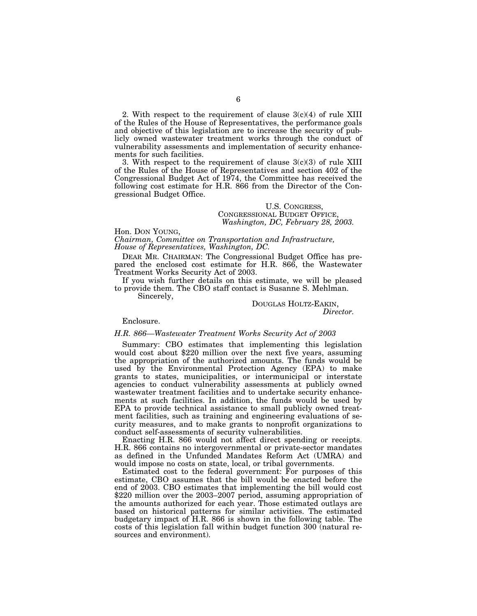2. With respect to the requirement of clause  $3(c)(4)$  of rule XIII of the Rules of the House of Representatives, the performance goals and objective of this legislation are to increase the security of publicly owned wastewater treatment works through the conduct of vulnerability assessments and implementation of security enhancements for such facilities.

3. With respect to the requirement of clause  $3(c)(3)$  of rule XIII of the Rules of the House of Representatives and section 402 of the Congressional Budget Act of 1974, the Committee has received the following cost estimate for H.R. 866 from the Director of the Congressional Budget Office.

# U.S. CONGRESS, CONGRESSIONAL BUDGET OFFICE, *Washington, DC, February 28, 2003.*

Hon. DON YOUNG, *Chairman, Committee on Transportation and Infrastructure, House of Representatives, Washington, DC.* 

DEAR MR. CHAIRMAN: The Congressional Budget Office has prepared the enclosed cost estimate for H.R. 866, the Wastewater Treatment Works Security Act of 2003.

If you wish further details on this estimate, we will be pleased to provide them. The CBO staff contact is Susanne S. Mehlman.

Sincerely,

# DOUGLAS HOLTZ-EAKIN,

*Director.* 

# Enclosure.

# *H.R. 866—Wastewater Treatment Works Security Act of 2003*

Summary: CBO estimates that implementing this legislation would cost about \$220 million over the next five years, assuming the appropriation of the authorized amounts. The funds would be used by the Environmental Protection Agency (EPA) to make grants to states, municipalities, or intermunicipal or interstate agencies to conduct vulnerability assessments at publicly owned wastewater treatment facilities and to undertake security enhancements at such facilities. In addition, the funds would be used by EPA to provide technical assistance to small publicly owned treatment facilities, such as training and engineering evaluations of security measures, and to make grants to nonprofit organizations to conduct self-assessments of security vulnerabilities.

Enacting H.R. 866 would not affect direct spending or receipts. H.R. 866 contains no intergovernmental or private-sector mandates as defined in the Unfunded Mandates Reform Act (UMRA) and would impose no costs on state, local, or tribal governments.

Estimated cost to the federal government: For purposes of this estimate, CBO assumes that the bill would be enacted before the end of 2003. CBO estimates that implementing the bill would cost \$220 million over the 2003–2007 period, assuming appropriation of the amounts authorized for each year. Those estimated outlays are based on historical patterns for similar activities. The estimated budgetary impact of H.R. 866 is shown in the following table. The costs of this legislation fall within budget function 300 (natural resources and environment).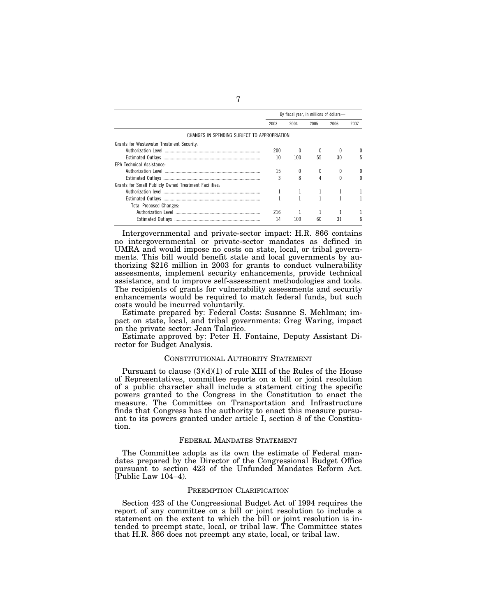|                                                       | By fiscal year, in millions of dollars- |      |      |      |      |
|-------------------------------------------------------|-----------------------------------------|------|------|------|------|
|                                                       | 2003                                    | 2004 | 2005 | 2006 | 2007 |
| CHANGES IN SPENDING SUBJECT TO APPROPRIATION          |                                         |      |      |      |      |
| Grants for Wastewater Treatment Security:             |                                         |      |      |      |      |
|                                                       | 200                                     |      |      |      |      |
|                                                       | 10                                      | 100  | 55   | 30   |      |
| <b>EPA Technical Assistance:</b>                      |                                         |      |      |      |      |
|                                                       | 15                                      |      |      |      |      |
|                                                       | 3                                       | 8    |      |      |      |
| Grants for Small Publicly Owned Treatment Facilities: |                                         |      |      |      |      |
|                                                       |                                         |      |      |      |      |
|                                                       |                                         |      |      |      |      |
| <b>Total Proposed Changes:</b>                        |                                         |      |      |      |      |
|                                                       | 216                                     |      |      |      |      |
|                                                       | 14                                      | 109  | 60   | 31   | h    |

Intergovernmental and private-sector impact: H.R. 866 contains no intergovernmental or private-sector mandates as defined in UMRA and would impose no costs on state, local, or tribal governments. This bill would benefit state and local governments by authorizing \$216 million in 2003 for grants to conduct vulnerability assessments, implement security enhancements, provide technical assistance, and to improve self-assessment methodologies and tools. The recipients of grants for vulnerability assessments and security enhancements would be required to match federal funds, but such costs would be incurred voluntarily.

Estimate prepared by: Federal Costs: Susanne S. Mehlman; impact on state, local, and tribal governments: Greg Waring, impact on the private sector: Jean Talarico.

Estimate approved by: Peter H. Fontaine, Deputy Assistant Director for Budget Analysis.

# CONSTITUTIONAL AUTHORITY STATEMENT

Pursuant to clause  $(3)(d)(1)$  of rule XIII of the Rules of the House of Representatives, committee reports on a bill or joint resolution of a public character shall include a statement citing the specific powers granted to the Congress in the Constitution to enact the measure. The Committee on Transportation and Infrastructure finds that Congress has the authority to enact this measure pursuant to its powers granted under article I, section 8 of the Constitution.

# FEDERAL MANDATES STATEMENT

The Committee adopts as its own the estimate of Federal mandates prepared by the Director of the Congressional Budget Office pursuant to section 423 of the Unfunded Mandates Reform Act. (Public Law 104–4).

### PREEMPTION CLARIFICATION

Section 423 of the Congressional Budget Act of 1994 requires the report of any committee on a bill or joint resolution to include a statement on the extent to which the bill or joint resolution is intended to preempt state, local, or tribal law. The Committee states that H.R. 866 does not preempt any state, local, or tribal law.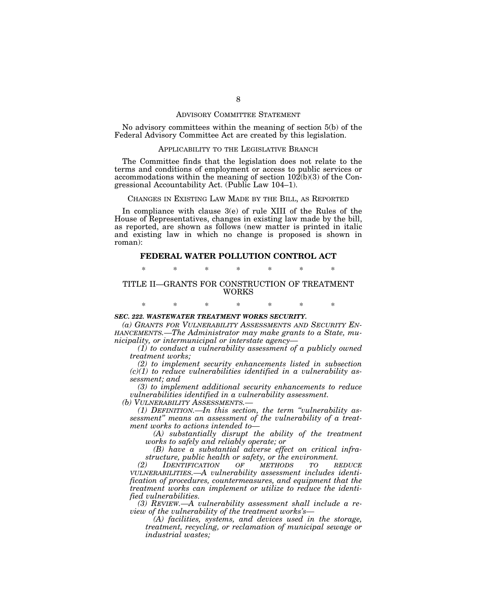### ADVISORY COMMITTEE STATEMENT

No advisory committees within the meaning of section 5(b) of the Federal Advisory Committee Act are created by this legislation.

### APPLICABILITY TO THE LEGISLATIVE BRANCH

The Committee finds that the legislation does not relate to the terms and conditions of employment or access to public services or accommodations within the meaning of section  $10\overline{2(b)(3)}$  of the Congressional Accountability Act. (Public Law 104–1).

# CHANGES IN EXISTING LAW MADE BY THE BILL, AS REPORTED

In compliance with clause 3(e) of rule XIII of the Rules of the House of Representatives, changes in existing law made by the bill, as reported, are shown as follows (new matter is printed in italic and existing law in which no change is proposed is shown in roman):

# **FEDERAL WATER POLLUTION CONTROL ACT**

\* \* \* \* \* \* \*

# TITLE II—GRANTS FOR CONSTRUCTION OF TREATMENT WORKS

\* \* \* \* \* \* \*

### *SEC. 222. WASTEWATER TREATMENT WORKS SECURITY.*

*(a) GRANTS FOR VULNERABILITY ASSESSMENTS AND SECURITY EN- HANCEMENTS.—The Administrator may make grants to a State, municipality, or intermunicipal or interstate agency— (1) to conduct a vulnerability assessment of a publicly owned* 

*treatment works;* 

*(2) to implement security enhancements listed in subsection (c)(1) to reduce vulnerabilities identified in a vulnerability assessment; and* 

*(3) to implement additional security enhancements to reduce vulnerabilities identified in a vulnerability assessment.* 

*(b) VULNERABILITY ASSESSMENTS.—*

*(1) DEFINITION.—In this section, the term ''vulnerability assessment'' means an assessment of the vulnerability of a treatment works to actions intended to—*

*(A) substantially disrupt the ability of the treatment works to safely and reliably operate; or* 

*(B) have a substantial adverse effect on critical infrastructure, public health or safety, or the environment.* 

*(2)* **IDENTIFICATION** OF **METHODS** TO *VULNERABILITIES.—A vulnerability assessment includes identification of procedures, countermeasures, and equipment that the treatment works can implement or utilize to reduce the identified vulnerabilities.* 

*(3) REVIEW.—A vulnerability assessment shall include a review of the vulnerability of the treatment works's—*

*(A) facilities, systems, and devices used in the storage, treatment, recycling, or reclamation of municipal sewage or industrial wastes;*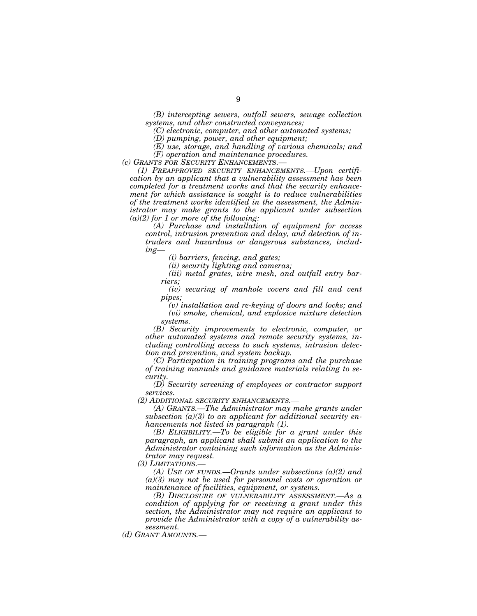*(B) intercepting sewers, outfall sewers, sewage collection systems, and other constructed conveyances;* 

*(C) electronic, computer, and other automated systems;* 

*(D) pumping, power, and other equipment;* 

*(E) use, storage, and handling of various chemicals; and (F) operation and maintenance procedures.* 

*(c) GRANTS FOR SECURITY ENHANCEMENTS.—*

*(1) PREAPPROVED SECURITY ENHANCEMENTS.—Upon certification by an applicant that a vulnerability assessment has been completed for a treatment works and that the security enhancement for which assistance is sought is to reduce vulnerabilities of the treatment works identified in the assessment, the Administrator may make grants to the applicant under subsection (a)(2) for 1 or more of the following:* 

*(A) Purchase and installation of equipment for access control, intrusion prevention and delay, and detection of intruders and hazardous or dangerous substances, including—*

*(i) barriers, fencing, and gates;* 

*(ii) security lighting and cameras;* 

*(iii) metal grates, wire mesh, and outfall entry barriers;* 

*(iv) securing of manhole covers and fill and vent pipes;* 

*(v) installation and re-keying of doors and locks; and (vi) smoke, chemical, and explosive mixture detection systems.* 

*(B) Security improvements to electronic, computer, or other automated systems and remote security systems, including controlling access to such systems, intrusion detection and prevention, and system backup.* 

*(C) Participation in training programs and the purchase of training manuals and guidance materials relating to security.* 

*(D) Security screening of employees or contractor support services.* 

*(2) ADDITIONAL SECURITY ENHANCEMENTS.—*

*(A) GRANTS.—The Administrator may make grants under subsection (a)(3) to an applicant for additional security enhancements not listed in paragraph (1).* 

*(B) ELIGIBILITY.—To be eligible for a grant under this paragraph, an applicant shall submit an application to the Administrator containing such information as the Administrator may request.* 

*(3) LIMITATIONS.—*

*(A) USE OF FUNDS.—Grants under subsections (a)(2) and (a)(3) may not be used for personnel costs or operation or maintenance of facilities, equipment, or systems.* 

*(B) DISCLOSURE OF VULNERABILITY ASSESSMENT.—As a condition of applying for or receiving a grant under this section, the Administrator may not require an applicant to provide the Administrator with a copy of a vulnerability assessment.* 

*(d) GRANT AMOUNTS.—*